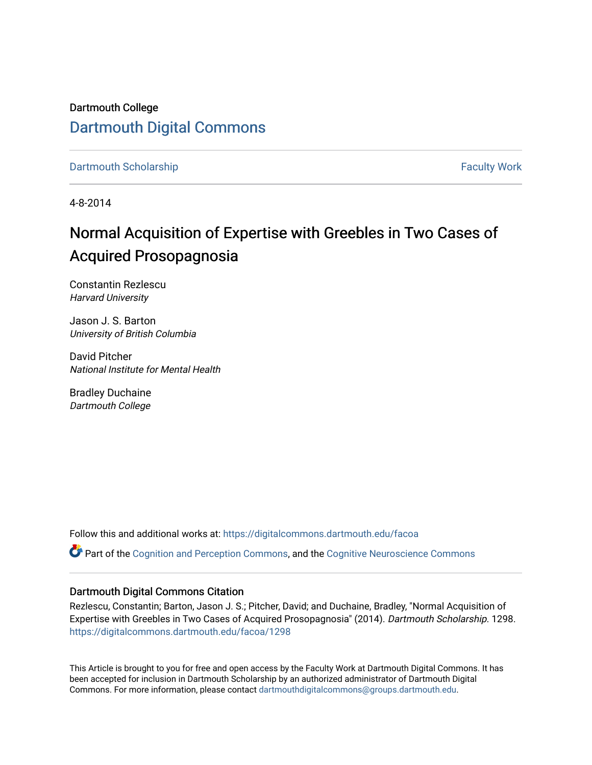Dartmouth College [Dartmouth Digital Commons](https://digitalcommons.dartmouth.edu/) 

[Dartmouth Scholarship](https://digitalcommons.dartmouth.edu/facoa) Faculty Work

4-8-2014

## Normal Acquisition of Expertise with Greebles in Two Cases of Acquired Prosopagnosia

Constantin Rezlescu Harvard University

Jason J. S. Barton University of British Columbia

David Pitcher National Institute for Mental Health

Bradley Duchaine Dartmouth College

Follow this and additional works at: [https://digitalcommons.dartmouth.edu/facoa](https://digitalcommons.dartmouth.edu/facoa?utm_source=digitalcommons.dartmouth.edu%2Ffacoa%2F1298&utm_medium=PDF&utm_campaign=PDFCoverPages)

Part of the [Cognition and Perception Commons,](http://network.bepress.com/hgg/discipline/407?utm_source=digitalcommons.dartmouth.edu%2Ffacoa%2F1298&utm_medium=PDF&utm_campaign=PDFCoverPages) and the [Cognitive Neuroscience Commons](http://network.bepress.com/hgg/discipline/57?utm_source=digitalcommons.dartmouth.edu%2Ffacoa%2F1298&utm_medium=PDF&utm_campaign=PDFCoverPages) 

### Dartmouth Digital Commons Citation

Rezlescu, Constantin; Barton, Jason J. S.; Pitcher, David; and Duchaine, Bradley, "Normal Acquisition of Expertise with Greebles in Two Cases of Acquired Prosopagnosia" (2014). Dartmouth Scholarship. 1298. [https://digitalcommons.dartmouth.edu/facoa/1298](https://digitalcommons.dartmouth.edu/facoa/1298?utm_source=digitalcommons.dartmouth.edu%2Ffacoa%2F1298&utm_medium=PDF&utm_campaign=PDFCoverPages) 

This Article is brought to you for free and open access by the Faculty Work at Dartmouth Digital Commons. It has been accepted for inclusion in Dartmouth Scholarship by an authorized administrator of Dartmouth Digital Commons. For more information, please contact [dartmouthdigitalcommons@groups.dartmouth.edu](mailto:dartmouthdigitalcommons@groups.dartmouth.edu).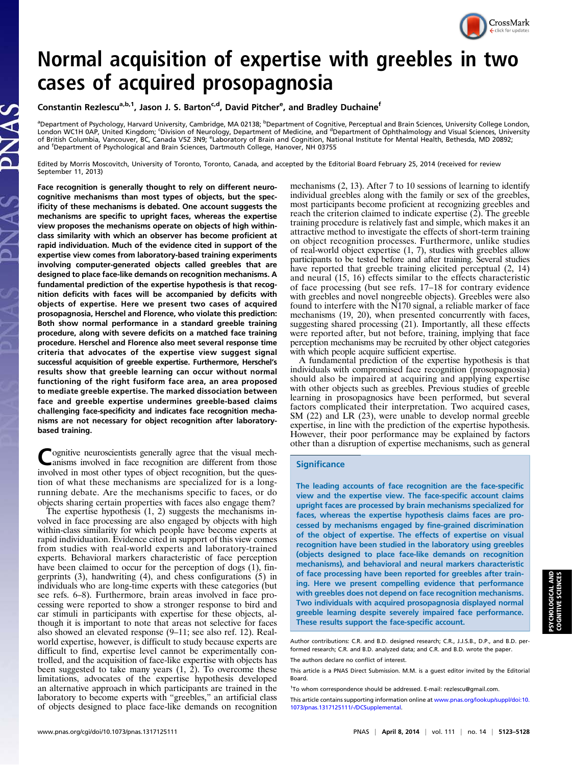

# Normal acquisition of expertise with greebles in two cases of acquired prosopagnosia

Constantin Rezlescu<sup>a,b,1</sup>, Jason J. S. Barton<sup>c,d</sup>, David Pitcher<sup>e</sup>, and Bradley Duchaine<sup>f</sup>

<sup>a</sup>Department of Psychology, Harvard University, Cambridge, MA 02138; <sup>b</sup>Department of Cognitive, Perceptual and Brain Sciences, University College London,<br>London WC1H 0AP, United Kingdom; ʿDivision of Neurology, Departmen of British Columbia, Vancouver, BC, Canada V5Z 3N9; <sup>e</sup>Laboratory of Brain and Cognition, National Institute for Mental Health, Bethesda, MD 20892; and <sup>f</sup> Department of Psychological and Brain Sciences, Dartmouth College, Hanover, NH 03755

Edited by Morris Moscovitch, University of Toronto, Toronto, Canada, and accepted by the Editorial Board February 25, 2014 (received for review September 11, 2013)

Face recognition is generally thought to rely on different neurocognitive mechanisms than most types of objects, but the specificity of these mechanisms is debated. One account suggests the mechanisms are specific to upright faces, whereas the expertise view proposes the mechanisms operate on objects of high withinclass similarity with which an observer has become proficient at rapid individuation. Much of the evidence cited in support of the expertise view comes from laboratory-based training experiments involving computer-generated objects called greebles that are designed to place face-like demands on recognition mechanisms. A fundamental prediction of the expertise hypothesis is that recognition deficits with faces will be accompanied by deficits with objects of expertise. Here we present two cases of acquired prosopagnosia, Herschel and Florence, who violate this prediction: Both show normal performance in a standard greeble training procedure, along with severe deficits on a matched face training procedure. Herschel and Florence also meet several response time criteria that advocates of the expertise view suggest signal successful acquisition of greeble expertise. Furthermore, Herschel's results show that greeble learning can occur without normal functioning of the right fusiform face area, an area proposed to mediate greeble expertise. The marked dissociation between face and greeble expertise undermines greeble-based claims challenging face-specificity and indicates face recognition mechanisms are not necessary for object recognition after laboratorybased training.

Cognitive neuroscientists generally agree that the visual mech-<br>anisms involved in face recognition are different from those involved in most other types of object recognition, but the question of what these mechanisms are specialized for is a longrunning debate. Are the mechanisms specific to faces, or do objects sharing certain properties with faces also engage them?

The expertise hypothesis (1, 2) suggests the mechanisms involved in face processing are also engaged by objects with high within-class similarity for which people have become experts at rapid individuation. Evidence cited in support of this view comes from studies with real-world experts and laboratory-trained experts. Behavioral markers characteristic of face perception have been claimed to occur for the perception of dogs (1), fingerprints (3), handwriting (4), and chess configurations (5) in individuals who are long-time experts with these categories (but see refs. 6–8). Furthermore, brain areas involved in face processing were reported to show a stronger response to bird and car stimuli in participants with expertise for these objects, although it is important to note that areas not selective for faces also showed an elevated response (9–11; see also ref. 12). Realworld expertise, however, is difficult to study because experts are difficult to find, expertise level cannot be experimentally controlled, and the acquisition of face-like expertise with objects has been suggested to take many years (1, 2). To overcome these limitations, advocates of the expertise hypothesis developed an alternative approach in which participants are trained in the laboratory to become experts with "greebles," an artificial class of objects designed to place face-like demands on recognition mechanisms (2, 13). After 7 to 10 sessions of learning to identify individual greebles along with the family or sex of the greebles, most participants become proficient at recognizing greebles and reach the criterion claimed to indicate expertise (2). The greeble training procedure is relatively fast and simple, which makes it an attractive method to investigate the effects of short-term training on object recognition processes. Furthermore, unlike studies of real-world object expertise (1, 7), studies with greebles allow participants to be tested before and after training. Several studies have reported that greeble training elicited perceptual  $(2, 14)$ and neural (15, 16) effects similar to the effects characteristic of face processing (but see refs. 17–18 for contrary evidence with greebles and novel nongreeble objects). Greebles were also found to interfere with the N170 signal, a reliable marker of face mechanisms (19, 20), when presented concurrently with faces, suggesting shared processing (21). Importantly, all these effects were reported after, but not before, training, implying that face perception mechanisms may be recruited by other object categories with which people acquire sufficient expertise.

A fundamental prediction of the expertise hypothesis is that individuals with compromised face recognition (prosopagnosia) should also be impaired at acquiring and applying expertise with other objects such as greebles. Previous studies of greeble learning in prosopagnosics have been performed, but several factors complicated their interpretation. Two acquired cases, SM (22) and LR (23), were unable to develop normal greeble expertise, in line with the prediction of the expertise hypothesis. However, their poor performance may be explained by factors other than a disruption of expertise mechanisms, such as general

#### **Significance**

The leading accounts of face recognition are the face-specific view and the expertise view. The face-specific account claims upright faces are processed by brain mechanisms specialized for faces, whereas the expertise hypothesis claims faces are processed by mechanisms engaged by fine-grained discrimination of the object of expertise. The effects of expertise on visual recognition have been studied in the laboratory using greebles (objects designed to place face-like demands on recognition mechanisms), and behavioral and neural markers characteristic of face processing have been reported for greebles after training. Here we present compelling evidence that performance with greebles does not depend on face recognition mechanisms. Two individuals with acquired prosopagnosia displayed normal greeble learning despite severely impaired face performance. These results support the face-specific account.

Author contributions: C.R. and B.D. designed research; C.R., J.J.S.B., D.P., and B.D. performed research; C.R. and B.D. analyzed data; and C.R. and B.D. wrote the paper. The authors declare no conflict of interest.

This article is a PNAS Direct Submission. M.M. is a guest editor invited by the Editorial Board.

<sup>&</sup>lt;sup>1</sup>To whom correspondence should be addressed. E-mail: [rezlescu@gmail.com](mailto:rezlescu@gmail.com).

This article contains supporting information online at [www.pnas.org/lookup/suppl/doi:10.](http://www.pnas.org/lookup/suppl/doi:10.1073/pnas.1317125111/-/DCSupplemental) [1073/pnas.1317125111/-/DCSupplemental](http://www.pnas.org/lookup/suppl/doi:10.1073/pnas.1317125111/-/DCSupplemental).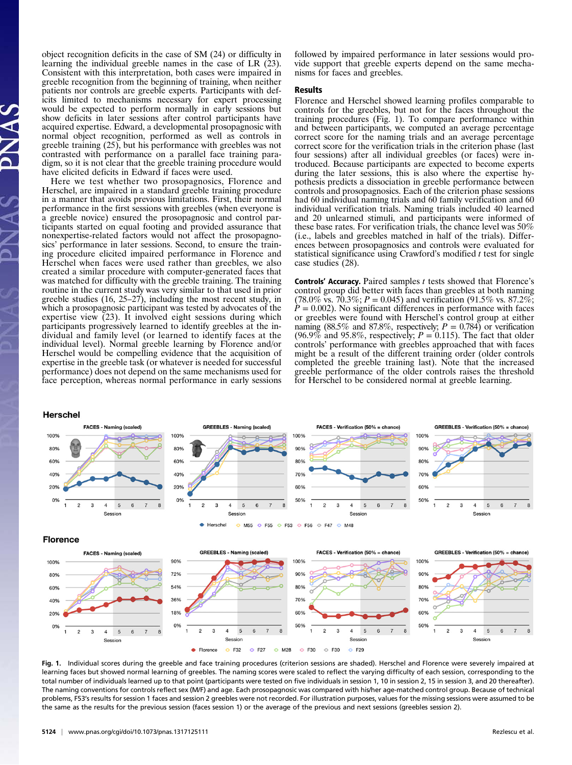object recognition deficits in the case of SM (24) or difficulty in learning the individual greeble names in the case of LR (23). Consistent with this interpretation, both cases were impaired in greeble recognition from the beginning of training, when neither patients nor controls are greeble experts. Participants with deficits limited to mechanisms necessary for expert processing would be expected to perform normally in early sessions but show deficits in later sessions after control participants have acquired expertise. Edward, a developmental prosopagnosic with normal object recognition, performed as well as controls in greeble training (25), but his performance with greebles was not contrasted with performance on a parallel face training paradigm, so it is not clear that the greeble training procedure would have elicited deficits in Edward if faces were used.

Here we test whether two prosopagnosics, Florence and Herschel, are impaired in a standard greeble training procedure in a manner that avoids previous limitations. First, their normal performance in the first sessions with greebles (when everyone is a greeble novice) ensured the prosopagnosic and control participants started on equal footing and provided assurance that nonexpertise-related factors would not affect the prosopagnosics' performance in later sessions. Second, to ensure the training procedure elicited impaired performance in Florence and Herschel when faces were used rather than greebles, we also created a similar procedure with computer-generated faces that was matched for difficulty with the greeble training. The training routine in the current study was very similar to that used in prior greeble studies (16, 25–27), including the most recent study, in which a prosopagnosic participant was tested by advocates of the expertise view (23). It involved eight sessions during which participants progressively learned to identify greebles at the individual and family level (or learned to identify faces at the individual level). Normal greeble learning by Florence and/or Herschel would be compelling evidence that the acquisition of expertise in the greeble task (or whatever is needed for successful performance) does not depend on the same mechanisms used for face perception, whereas normal performance in early sessions

followed by impaired performance in later sessions would provide support that greeble experts depend on the same mechanisms for faces and greebles.

#### Results

Florence and Herschel showed learning profiles comparable to controls for the greebles, but not for the faces throughout the training procedures (Fig. 1). To compare performance within and between participants, we computed an average percentage correct score for the naming trials and an average percentage correct score for the verification trials in the criterion phase (last four sessions) after all individual greebles (or faces) were introduced. Because participants are expected to become experts during the later sessions, this is also where the expertise hypothesis predicts a dissociation in greeble performance between controls and prosopagnosics. Each of the criterion phase sessions had 60 individual naming trials and 60 family verification and 60 individual verification trials. Naming trials included 40 learned and 20 unlearned stimuli, and participants were informed of these base rates. For verification trials, the chance level was 50% (i.e., labels and greebles matched in half of the trials). Differences between prosopagnosics and controls were evaluated for statistical significance using Crawford's modified  $t$  test for single case studies (28).

**Controls' Accuracy.** Paired samples  $t$  tests showed that Florence's control group did better with faces than greebles at both naming (78.0% vs. 70.3%;  $P = 0.045$ ) and verification (91.5% vs. 87.2%;  $\dot{P} = 0.002$ ). No significant differences in performance with faces or greebles were found with Herschel's control group at either naming (88.5% and 87.8%, respectively;  $P = 0.784$ ) or verification (96.9% and 95.8%, respectively;  $P = 0.115$ ). The fact that older controls' performance with greebles approached that with faces might be a result of the different training order (older controls completed the greeble training last). Note that the increased greeble performance of the older controls raises the threshold for Herschel to be considered normal at greeble learning.

50%

5



 $\overline{c}$ 3  $\overline{4}$  $\sqrt{5}$  $\overline{6}$  $\overline{7}$ 



50%

• Florence O F32 O F27 O M28 O F30 ← F30 C F29

 $\overline{4}$ 5

Se

Session

5

6

Fig. 1. Individual scores during the greeble and face training procedures (criterion sessions are shaded). Herschel and Florence were severely impaired at learning faces but showed normal learning of greebles. The naming scores were scaled to reflect the varying difficulty of each session, corresponding to the total number of individuals learned up to that point (participants were tested on five individuals in session 1, 10 in session 2, 15 in session 3, and 20 thereafter). The naming conventions for controls reflect sex (M/F) and age. Each prosopagnosic was compared with his/her age-matched control group. Because of technical problems, F53's results for session 1 faces and session 2 greebles were not recorded. For illustration purposes, values for the missing sessions were assumed to be the same as the results for the previous session (faces session 1) or the average of the previous and next sessions (greebles session 2).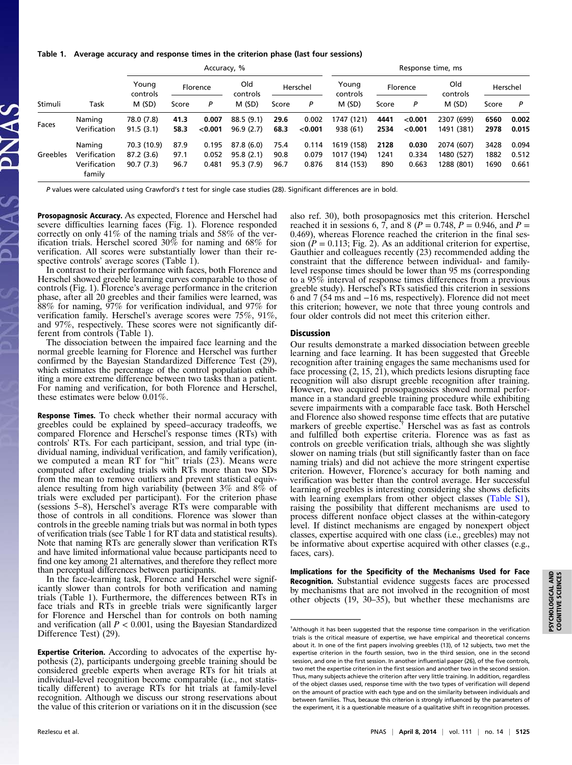#### Table 1. Average accuracy and response times in the criterion phase (last four sessions)

| Stimuli  | Task                                             | Accuracy, %                            |                      |                         |                                      |                      |                         | Response time, ms                     |                     |                         |                                        |                      |                         |
|----------|--------------------------------------------------|----------------------------------------|----------------------|-------------------------|--------------------------------------|----------------------|-------------------------|---------------------------------------|---------------------|-------------------------|----------------------------------------|----------------------|-------------------------|
|          |                                                  | Young<br>controls<br>M(SD)             | Florence             |                         | Old<br>controls                      | Herschel             |                         | Young<br>controls                     | Florence            |                         | Old<br>controls                        | Herschel             |                         |
|          |                                                  |                                        | Score                | P                       | M(SD)                                | Score                | P                       | M(SD)                                 | Score               | P                       | M(SD)                                  | Score                | P                       |
| Faces    | Naming<br>Verification                           | 78.0 (7.8)<br>91.5(3.1)                | 41.3<br>58.3         | 0.007<br>< 0.001        | 88.5(9.1)<br>96.9(2.7)               | 29.6<br>68.3         | 0.002<br>< 0.001        | 1747 (121)<br>938 (61)                | 4441<br>2534        | < 0.001<br>< 0.001      | 2307 (699)<br>1491 (381)               | 6560<br>2978         | 0.002<br>0.015          |
| Greebles | Naming<br>Verification<br>Verification<br>family | 70.3 (10.9)<br>87.2 (3.6)<br>90.7(7.3) | 87.9<br>97.1<br>96.7 | 0.195<br>0.052<br>0.481 | 87.8(6.0)<br>95.8(2.1)<br>95.3 (7.9) | 75.4<br>90.8<br>96.7 | 0.114<br>0.079<br>0.876 | 1619 (158)<br>1017 (194)<br>814 (153) | 2128<br>1241<br>890 | 0.030<br>0.334<br>0.663 | 2074 (607)<br>1480 (527)<br>1288 (801) | 3428<br>1882<br>1690 | 0.094<br>0.512<br>0.661 |

P values were calculated using Crawford's t test for single case studies (28). Significant differences are in bold.

Prosopagnosic Accuracy. As expected, Florence and Herschel had severe difficulties learning faces (Fig. 1). Florence responded correctly on only 41% of the naming trials and 58% of the verification trials. Herschel scored 30% for naming and 68% for verification. All scores were substantially lower than their respective controls' average scores (Table 1).

In contrast to their performance with faces, both Florence and Herschel showed greeble learning curves comparable to those of controls (Fig. 1). Florence's average performance in the criterion phase, after all 20 greebles and their families were learned, was 88% for naming, 97% for verification individual, and 97% for verification family. Herschel's average scores were 75%, 91%, and 97%, respectively. These scores were not significantly different from controls (Table 1).

The dissociation between the impaired face learning and the normal greeble learning for Florence and Herschel was further confirmed by the Bayesian Standardized Difference Test (29), which estimates the percentage of the control population exhibiting a more extreme difference between two tasks than a patient. For naming and verification, for both Florence and Herschel, these estimates were below 0.01%.

Response Times. To check whether their normal accuracy with greebles could be explained by speed–accuracy tradeoffs, we compared Florence and Herschel's response times (RTs) with controls' RTs. For each participant, session, and trial type (individual naming, individual verification, and family verification), we computed a mean RT for "hit" trials (23). Means were computed after excluding trials with RTs more than two SDs from the mean to remove outliers and prevent statistical equivalence resulting from high variability (between 3% and 8% of trials were excluded per participant). For the criterion phase (sessions 5–8), Herschel's average RTs were comparable with those of controls in all conditions. Florence was slower than controls in the greeble naming trials but was normal in both types of verification trials (see Table 1 for RT data and statistical results). Note that naming RTs are generally slower than verification RTs and have limited informational value because participants need to find one key among 21 alternatives, and therefore they reflect more than perceptual differences between participants.

In the face-learning task, Florence and Herschel were significantly slower than controls for both verification and naming trials (Table 1). Furthermore, the differences between RTs in face trials and RTs in greeble trials were significantly larger for Florence and Herschel than for controls on both naming and verification (all  $P < 0.001$ , using the Bayesian Standardized Difference Test) (29).

Expertise Criterion. According to advocates of the expertise hypothesis (2), participants undergoing greeble training should be considered greeble experts when average RTs for hit trials at individual-level recognition become comparable (i.e., not statistically different) to average RTs for hit trials at family-level recognition. Although we discuss our strong reservations about the value of this criterion or variations on it in the discussion (see also ref. 30), both prosopagnosics met this criterion. Herschel reached it in sessions 6, 7, and 8 ( $P = 0.748$ ,  $P = 0.946$ , and  $P =$ 0.469), whereas Florence reached the criterion in the final session ( $P = 0.113$ ; Fig. 2). As an additional criterion for expertise, Gauthier and colleagues recently (23) recommended adding the constraint that the difference between individual- and familylevel response times should be lower than 95 ms (corresponding to a 95% interval of response times differences from a previous greeble study). Herschel's RTs satisfied this criterion in sessions 6 and 7 (54 ms and −16 ms, respectively). Florence did not meet this criterion; however, we note that three young controls and four older controls did not meet this criterion either.

#### Discussion

Our results demonstrate a marked dissociation between greeble learning and face learning. It has been suggested that Greeble recognition after training engages the same mechanisms used for face processing  $(2, 15, 2\bar{1})$ , which predicts lesions disrupting face recognition will also disrupt greeble recognition after training. However, two acquired prosopagnosics showed normal performance in a standard greeble training procedure while exhibiting severe impairments with a comparable face task. Both Herschel and Florence also showed response time effects that are putative markers of greeble expertise.<sup>†</sup> Herschel was as fast as controls and fulfilled both expertise criteria. Florence was as fast as controls on greeble verification trials, although she was slightly slower on naming trials (but still significantly faster than on face naming trials) and did not achieve the more stringent expertise criterion. However, Florence's accuracy for both naming and verification was better than the control average. Her successful learning of greebles is interesting considering she shows deficits with learning exemplars from other object classes [\(Table S1](http://www.pnas.org/lookup/suppl/doi:10.1073/pnas.1317125111/-/DCSupplemental/pnas.201317125SI.pdf?targetid=nameddest=ST1)), raising the possibility that different mechanisms are used to process different nonface object classes at the within-category level. If distinct mechanisms are engaged by nonexpert object classes, expertise acquired with one class (i.e., greebles) may not be informative about expertise acquired with other classes (e.g., faces, cars).

Implications for the Specificity of the Mechanisms Used for Face Recognition. Substantial evidence suggests faces are processed by mechanisms that are not involved in the recognition of most other objects (19, 30–35), but whether these mechanisms are

<sup>&</sup>lt;sup>+</sup>Although it has been suggested that the response time comparison in the verification trials is the critical measure of expertise, we have empirical and theoretical concerns about it. In one of the first papers involving greebles (13), of 12 subjects, two met the expertise criterion in the fourth session, two in the third session, one in the second session, and one in the first session. In another influential paper (26), of the five controls, two met the expertise criterion in the first session and another two in the second session. Thus, many subjects achieve the criterion after very little training. In addition, regardless of the object classes used, response time with the two types of verification will depend on the amount of practice with each type and on the similarity between individuals and between families. Thus, because this criterion is strongly influenced by the parameters of the experiment, it is a questionable measure of a qualitative shift in recognition processes.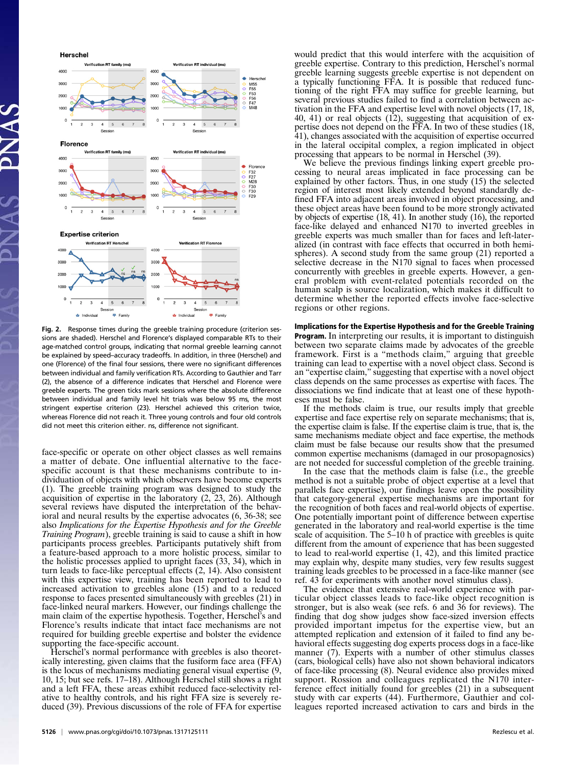Hersche



Fig. 2. Response times during the greeble training procedure (criterion sessions are shaded). Herschel and Florence's displayed comparable RTs to their age-matched control groups, indicating that normal greeble learning cannot be explained by speed–accuracy tradeoffs. In addition, in three (Herschel) and one (Florence) of the final four sessions, there were no significant differences between individual and family verification RTs. According to Gauthier and Tarr (2), the absence of a difference indicates that Herschel and Florence were greeble experts. The green ticks mark sessions where the absolute difference between individual and family level hit trials was below 95 ms, the most stringent expertise criterion (23). Herschel achieved this criterion twice, whereas Florence did not reach it. Three young controls and four old controls did not meet this criterion either. ns, difference not significant.

face-specific or operate on other object classes as well remains a matter of debate. One influential alternative to the facespecific account is that these mechanisms contribute to individuation of objects with which observers have become experts (1). The greeble training program was designed to study the acquisition of expertise in the laboratory (2, 23, 26). Although several reviews have disputed the interpretation of the behavioral and neural results by the expertise advocates (6, 36-38; see also Implications for the Expertise Hypothesis and for the Greeble Training Program), greeble training is said to cause a shift in how participants process greebles. Participants putatively shift from a feature-based approach to a more holistic process, similar to the holistic processes applied to upright faces (33, 34), which in turn leads to face-like perceptual effects (2, 14). Also consistent with this expertise view, training has been reported to lead to increased activation to greebles alone (15) and to a reduced response to faces presented simultaneously with greebles (21) in face-linked neural markers. However, our findings challenge the main claim of the expertise hypothesis. Together, Herschel's and Florence's results indicate that intact face mechanisms are not required for building greeble expertise and bolster the evidence supporting the face-specific account.

Herschel's normal performance with greebles is also theoretically interesting, given claims that the fusiform face area (FFA) is the locus of mechanisms mediating general visual expertise (9, 10, 15; but see refs. 17–18). Although Herschel still shows a right and a left FFA, these areas exhibit reduced face-selectivity relative to healthy controls, and his right FFA size is severely reduced (39). Previous discussions of the role of FFA for expertise would predict that this would interfere with the acquisition of greeble expertise. Contrary to this prediction, Herschel's normal greeble learning suggests greeble expertise is not dependent on a typically functioning FFA. It is possible that reduced functioning of the right FFA may suffice for greeble learning, but several previous studies failed to find a correlation between activation in the FFA and expertise level with novel objects (17, 18, 40, 41) or real objects (12), suggesting that acquisition of expertise does not depend on the FFA. In two of these studies (18, 41), changes associated with the acquisition of expertise occurred in the lateral occipital complex, a region implicated in object processing that appears to be normal in Herschel (39).

We believe the previous findings linking expert greeble processing to neural areas implicated in face processing can be explained by other factors. Thus, in one study (15) the selected region of interest most likely extended beyond standardly defined FFA into adjacent areas involved in object processing, and these object areas have been found to be more strongly activated by objects of expertise (18, 41). In another study (16), the reported face-like delayed and enhanced N170 to inverted greebles in greeble experts was much smaller than for faces and left-lateralized (in contrast with face effects that occurred in both hemispheres). A second study from the same group (21) reported a selective decrease in the N170 signal to faces when processed concurrently with greebles in greeble experts. However, a general problem with event-related potentials recorded on the human scalp is source localization, which makes it difficult to determine whether the reported effects involve face-selective regions or other regions.

#### Implications for the Expertise Hypothesis and for the Greeble Training

**Program.** In interpreting our results, it is important to distinguish between two separate claims made by advocates of the greeble framework. First is a "methods claim," arguing that greeble training can lead to expertise with a novel object class. Second is an "expertise claim," suggesting that expertise with a novel object class depends on the same processes as expertise with faces. The dissociations we find indicate that at least one of these hypotheses must be false.

If the methods claim is true, our results imply that greeble expertise and face expertise rely on separate mechanisms; that is, the expertise claim is false. If the expertise claim is true, that is, the same mechanisms mediate object and face expertise, the methods claim must be false because our results show that the presumed common expertise mechanisms (damaged in our prosopagnosics) are not needed for successful completion of the greeble training.

In the case that the methods claim is false (i.e., the greeble method is not a suitable probe of object expertise at a level that parallels face expertise), our findings leave open the possibility that category-general expertise mechanisms are important for the recognition of both faces and real-world objects of expertise. One potentially important point of difference between expertise generated in the laboratory and real-world expertise is the time scale of acquisition. The 5–10 h of practice with greebles is quite different from the amount of experience that has been suggested to lead to real-world expertise  $(1, 42)$ , and this limited practice may explain why, despite many studies, very few results suggest training leads greebles to be processed in a face-like manner (see ref. 43 for experiments with another novel stimulus class).

The evidence that extensive real-world experience with particular object classes leads to face-like object recognition is stronger, but is also weak (see refs. 6 and 36 for reviews). The finding that dog show judges show face-sized inversion effects provided important impetus for the expertise view, but an attempted replication and extension of it failed to find any behavioral effects suggesting dog experts process dogs in a face-like manner (7). Experts with a number of other stimulus classes (cars, biological cells) have also not shown behavioral indicators of face-like processing (8). Neural evidence also provides mixed support. Rossion and colleagues replicated the N170 interference effect initially found for greebles (21) in a subsequent study with car experts (44). Furthermore, Gauthier and colleagues reported increased activation to cars and birds in the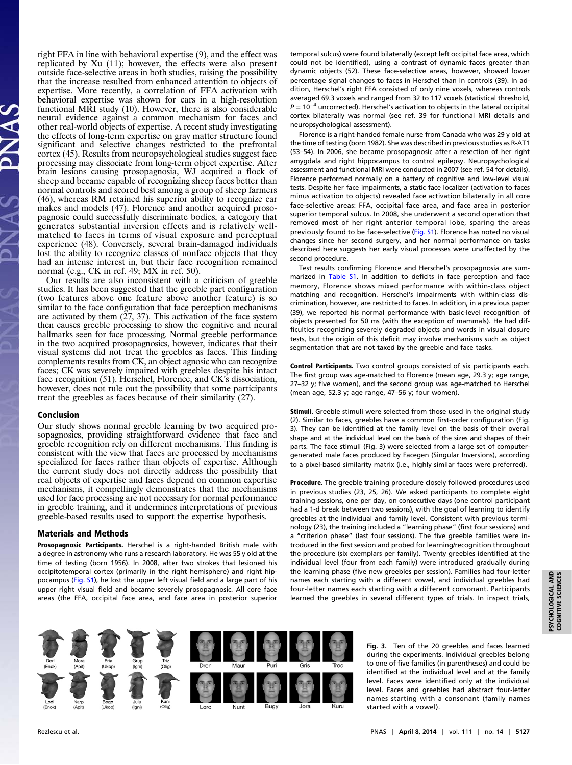right FFA in line with behavioral expertise (9), and the effect was replicated by Xu (11); however, the effects were also present outside face-selective areas in both studies, raising the possibility that the increase resulted from enhanced attention to objects of expertise. More recently, a correlation of FFA activation with behavioral expertise was shown for cars in a high-resolution functional MRI study (10). However, there is also considerable neural evidence against a common mechanism for faces and other real-world objects of expertise. A recent study investigating the effects of long-term expertise on gray matter structure found significant and selective changes restricted to the prefrontal cortex (45). Results from neuropsychological studies suggest face processing may dissociate from long-term object expertise. After brain lesions causing prosopagnosia, WJ acquired a flock of sheep and became capable of recognizing sheep faces better than normal controls and scored best among a group of sheep farmers (46), whereas RM retained his superior ability to recognize car makes and models (47). Florence and another acquired prosopagnosic could successfully discriminate bodies, a category that generates substantial inversion effects and is relatively wellmatched to faces in terms of visual exposure and perceptual experience (48). Conversely, several brain-damaged individuals lost the ability to recognize classes of nonface objects that they had an intense interest in, but their face recognition remained normal (e.g., CK in ref. 49; MX in ref. 50).

Our results are also inconsistent with a criticism of greeble studies. It has been suggested that the greeble part configuration (two features above one feature above another feature) is so similar to the face configuration that face perception mechanisms are activated by them  $(27, 37)$ . This activation of the face system then causes greeble processing to show the cognitive and neural hallmarks seen for face processing. Normal greeble performance in the two acquired prosopagnosics, however, indicates that their visual systems did not treat the greebles as faces. This finding complements results from CK, an object agnosic who can recognize faces; CK was severely impaired with greebles despite his intact face recognition (51). Herschel, Florence, and CK's dissociation, however, does not rule out the possibility that some participants treat the greebles as faces because of their similarity (27).

#### Conclusion

Our study shows normal greeble learning by two acquired prosopagnosics, providing straightforward evidence that face and greeble recognition rely on different mechanisms. This finding is consistent with the view that faces are processed by mechanisms specialized for faces rather than objects of expertise. Although the current study does not directly address the possibility that real objects of expertise and faces depend on common expertise mechanisms, it compellingly demonstrates that the mechanisms used for face processing are not necessary for normal performance in greeble training, and it undermines interpretations of previous greeble-based results used to support the expertise hypothesis.

#### Materials and Methods

Prosopagnosic Participants. Herschel is a right-handed British male with a degree in astronomy who runs a research laboratory. He was 55 y old at the time of testing (born 1956). In 2008, after two strokes that lesioned his occipitotemporal cortex (primarily in the right hemisphere) and right hippocampus [\(Fig. S1](http://www.pnas.org/lookup/suppl/doi:10.1073/pnas.1317125111/-/DCSupplemental/pnas.201317125SI.pdf?targetid=nameddest=SF1)), he lost the upper left visual field and a large part of his upper right visual field and became severely prosopagnosic. All core face areas (the FFA, occipital face area, and face area in posterior superior temporal sulcus) were found bilaterally (except left occipital face area, which could not be identified), using a contrast of dynamic faces greater than dynamic objects (52). These face-selective areas, however, showed lower percentage signal changes to faces in Herschel than in controls (39). In addition, Herschel's right FFA consisted of only nine voxels, whereas controls averaged 69.3 voxels and ranged from 32 to 117 voxels (statistical threshold,  $P = 10^{-4}$  uncorrected). Herschel's activation to objects in the lateral occipital cortex bilaterally was normal (see ref. 39 for functional MRI details and neuropsychological assessment).

Florence is a right-handed female nurse from Canada who was 29 y old at the time of testing (born 1982). She was described in previous studies as R-AT1 (53–54). In 2006, she became prosopagnosic after a resection of her right amygdala and right hippocampus to control epilepsy. Neuropsychological assessment and functional MRI were conducted in 2007 (see ref. 54 for details). Florence performed normally on a battery of cognitive and low-level visual tests. Despite her face impairments, a static face localizer (activation to faces minus activation to objects) revealed face activation bilaterally in all core face-selective areas: FFA, occipital face area, and face area in posterior superior temporal sulcus. In 2008, she underwent a second operation that removed most of her right anterior temporal lobe, sparing the areas previously found to be face-selective ([Fig. S1](http://www.pnas.org/lookup/suppl/doi:10.1073/pnas.1317125111/-/DCSupplemental/pnas.201317125SI.pdf?targetid=nameddest=SF1)). Florence has noted no visual changes since her second surgery, and her normal performance on tasks described here suggests her early visual processes were unaffected by the second procedure.

Test results confirming Florence and Herschel's prosopagnosia are summarized in [Table S1.](http://www.pnas.org/lookup/suppl/doi:10.1073/pnas.1317125111/-/DCSupplemental/pnas.201317125SI.pdf?targetid=nameddest=ST1) In addition to deficits in face perception and face memory, Florence shows mixed performance with within-class object matching and recognition. Herschel's impairments with within-class discrimination, however, are restricted to faces. In addition, in a previous paper (39), we reported his normal performance with basic-level recognition of objects presented for 50 ms (with the exception of mammals). He had difficulties recognizing severely degraded objects and words in visual closure tests, but the origin of this deficit may involve mechanisms such as object segmentation that are not taxed by the greeble and face tasks.

Control Participants. Two control groups consisted of six participants each. The first group was age-matched to Florence (mean age, 29.3 y; age range, 27–32 y; five women), and the second group was age-matched to Herschel (mean age, 52.3 y; age range, 47–56 y; four women).

Stimuli. Greeble stimuli were selected from those used in the original study (2). Similar to faces, greebles have a common first-order configuration (Fig. 3). They can be identified at the family level on the basis of their overall shape and at the individual level on the basis of the sizes and shapes of their parts. The face stimuli (Fig. 3) were selected from a large set of computergenerated male faces produced by Facegen (Singular Inversions), according to a pixel-based similarity matrix (i.e., highly similar faces were preferred).

Procedure. The greeble training procedure closely followed procedures used in previous studies (23, 25, 26). We asked participants to complete eight training sessions, one per day, on consecutive days (one control participant had a 1-d break between two sessions), with the goal of learning to identify greebles at the individual and family level. Consistent with previous terminology (23), the training included a "learning phase" (first four sessions) and a "criterion phase" (last four sessions). The five greeble families were introduced in the first session and probed for learning/recognition throughout the procedure (six exemplars per family). Twenty greebles identified at the individual level (four from each family) were introduced gradually during the learning phase (five new greebles per session). Families had four-letter names each starting with a different vowel, and individual greebles had four-letter names each starting with a different consonant. Participants learned the greebles in several different types of trials. In inspect trials,



Fig. 3. Ten of the 20 greebles and faces learned during the experiments. Individual greebles belong to one of five families (in parentheses) and could be identified at the individual level and at the family level. Faces were identified only at the individual level. Faces and greebles had abstract four-letter names starting with a consonant (family names started with a vowel).